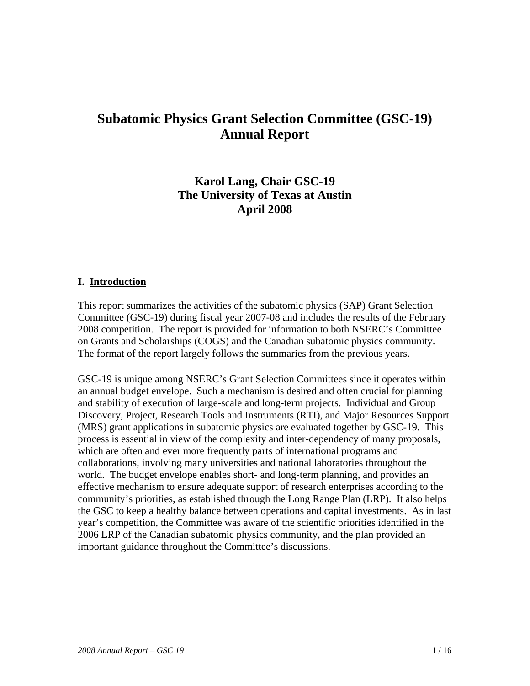# **Subatomic Physics Grant Selection Committee (GSC-19) Annual Report**

# **Karol Lang, Chair GSC-19 The University of Texas at Austin April 2008**

#### **I. Introduction**

This report summarizes the activities of the subatomic physics (SAP) Grant Selection Committee (GSC-19) during fiscal year 2007-08 and includes the results of the February 2008 competition. The report is provided for information to both NSERC's Committee on Grants and Scholarships (COGS) and the Canadian subatomic physics community. The format of the report largely follows the summaries from the previous years.

GSC-19 is unique among NSERC's Grant Selection Committees since it operates within an annual budget envelope. Such a mechanism is desired and often crucial for planning and stability of execution of large-scale and long-term projects. Individual and Group Discovery, Project, Research Tools and Instruments (RTI), and Major Resources Support (MRS) grant applications in subatomic physics are evaluated together by GSC-19. This process is essential in view of the complexity and inter-dependency of many proposals, which are often and ever more frequently parts of international programs and collaborations, involving many universities and national laboratories throughout the world. The budget envelope enables short- and long-term planning, and provides an effective mechanism to ensure adequate support of research enterprises according to the community's priorities, as established through the Long Range Plan (LRP). It also helps the GSC to keep a healthy balance between operations and capital investments. As in last year's competition, the Committee was aware of the scientific priorities identified in the 2006 LRP of the Canadian subatomic physics community, and the plan provided an important guidance throughout the Committee's discussions.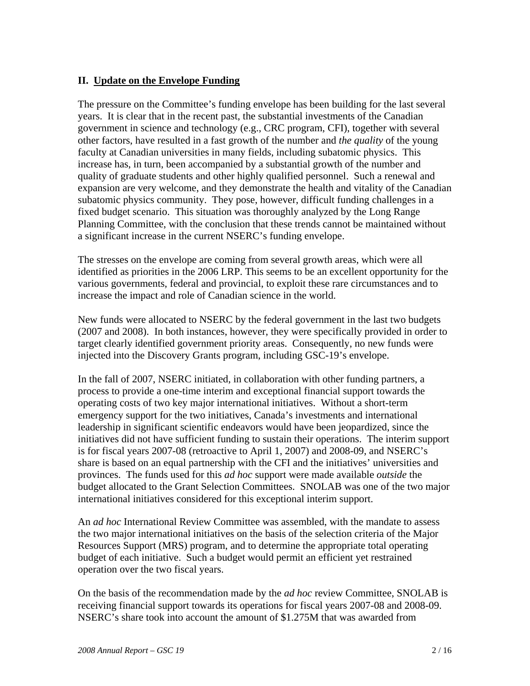# **II. Update on the Envelope Funding**

The pressure on the Committee's funding envelope has been building for the last several years. It is clear that in the recent past, the substantial investments of the Canadian government in science and technology (e.g., CRC program, CFI), together with several other factors, have resulted in a fast growth of the number and *the quality* of the young faculty at Canadian universities in many fields, including subatomic physics. This increase has, in turn, been accompanied by a substantial growth of the number and quality of graduate students and other highly qualified personnel. Such a renewal and expansion are very welcome, and they demonstrate the health and vitality of the Canadian subatomic physics community. They pose, however, difficult funding challenges in a fixed budget scenario. This situation was thoroughly analyzed by the Long Range Planning Committee, with the conclusion that these trends cannot be maintained without a significant increase in the current NSERC's funding envelope.

The stresses on the envelope are coming from several growth areas, which were all identified as priorities in the 2006 LRP. This seems to be an excellent opportunity for the various governments, federal and provincial, to exploit these rare circumstances and to increase the impact and role of Canadian science in the world.

New funds were allocated to NSERC by the federal government in the last two budgets (2007 and 2008). In both instances, however, they were specifically provided in order to target clearly identified government priority areas. Consequently, no new funds were injected into the Discovery Grants program, including GSC-19's envelope.

In the fall of 2007, NSERC initiated, in collaboration with other funding partners, a process to provide a one-time interim and exceptional financial support towards the operating costs of two key major international initiatives. Without a short-term emergency support for the two initiatives, Canada's investments and international leadership in significant scientific endeavors would have been jeopardized, since the initiatives did not have sufficient funding to sustain their operations. The interim support is for fiscal years 2007-08 (retroactive to April 1, 2007) and 2008-09, and NSERC's share is based on an equal partnership with the CFI and the initiatives' universities and provinces. The funds used for this *ad hoc* support were made available *outside* the budget allocated to the Grant Selection Committees. SNOLAB was one of the two major international initiatives considered for this exceptional interim support.

An *ad hoc* International Review Committee was assembled, with the mandate to assess the two major international initiatives on the basis of the selection criteria of the Major Resources Support (MRS) program, and to determine the appropriate total operating budget of each initiative. Such a budget would permit an efficient yet restrained operation over the two fiscal years.

On the basis of the recommendation made by the *ad hoc* review Committee, SNOLAB is receiving financial support towards its operations for fiscal years 2007-08 and 2008-09. NSERC's share took into account the amount of \$1.275M that was awarded from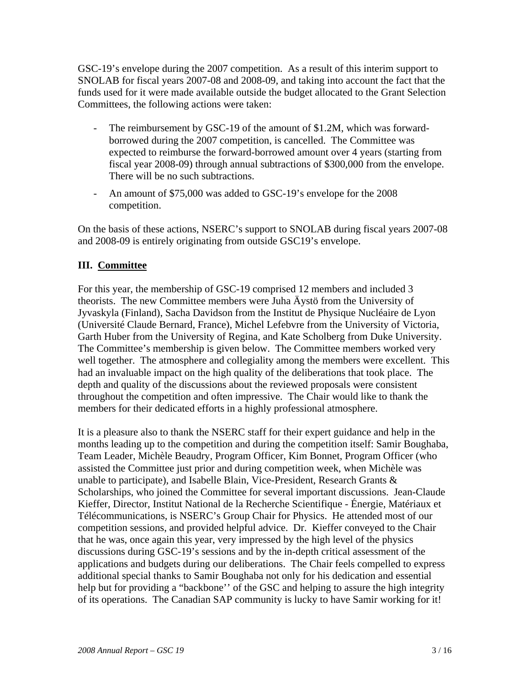GSC-19's envelope during the 2007 competition. As a result of this interim support to SNOLAB for fiscal years 2007-08 and 2008-09, and taking into account the fact that the funds used for it were made available outside the budget allocated to the Grant Selection Committees, the following actions were taken:

- The reimbursement by GSC-19 of the amount of \$1.2M, which was forwardborrowed during the 2007 competition, is cancelled. The Committee was expected to reimburse the forward-borrowed amount over 4 years (starting from fiscal year 2008-09) through annual subtractions of \$300,000 from the envelope. There will be no such subtractions.
- An amount of \$75,000 was added to GSC-19's envelope for the 2008 competition.

On the basis of these actions, NSERC's support to SNOLAB during fiscal years 2007-08 and 2008-09 is entirely originating from outside GSC19's envelope.

# **III. Committee**

For this year, the membership of GSC-19 comprised 12 members and included 3 theorists. The new Committee members were Juha Äystö from the University of Jyvaskyla (Finland), Sacha Davidson from the Institut de Physique Nucléaire de Lyon (Université Claude Bernard, France), Michel Lefebvre from the University of Victoria, Garth Huber from the University of Regina, and Kate Scholberg from Duke University. The Committee's membership is given below. The Committee members worked very well together. The atmosphere and collegiality among the members were excellent. This had an invaluable impact on the high quality of the deliberations that took place. The depth and quality of the discussions about the reviewed proposals were consistent throughout the competition and often impressive. The Chair would like to thank the members for their dedicated efforts in a highly professional atmosphere.

It is a pleasure also to thank the NSERC staff for their expert guidance and help in the months leading up to the competition and during the competition itself: Samir Boughaba, Team Leader, Michèle Beaudry, Program Officer, Kim Bonnet, Program Officer (who assisted the Committee just prior and during competition week, when Michèle was unable to participate), and Isabelle Blain, Vice-President, Research Grants & Scholarships, who joined the Committee for several important discussions. Jean-Claude Kieffer, Director, Institut National de la Recherche Scientifique - Énergie, Matériaux et Télécommunications, is NSERC's Group Chair for Physics. He attended most of our competition sessions, and provided helpful advice. Dr. Kieffer conveyed to the Chair that he was, once again this year, very impressed by the high level of the physics discussions during GSC-19's sessions and by the in-depth critical assessment of the applications and budgets during our deliberations. The Chair feels compelled to express additional special thanks to Samir Boughaba not only for his dedication and essential help but for providing a "backbone" of the GSC and helping to assure the high integrity of its operations. The Canadian SAP community is lucky to have Samir working for it!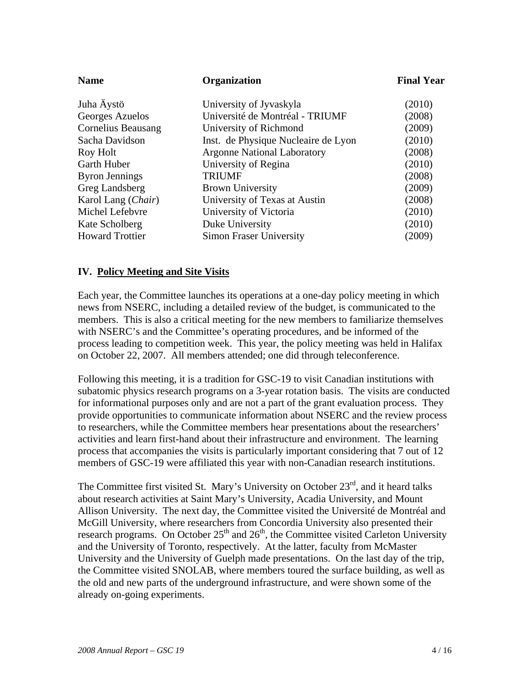| <b>Name</b><br><b>Organization</b> |                                     | <b>Final Year</b> |
|------------------------------------|-------------------------------------|-------------------|
| Juha Äystö                         | University of Jyvaskyla             | (2010)            |
| Georges Azuelos                    | Université de Montréal - TRIUMF     | (2008)            |
| <b>Cornelius Beausang</b>          | University of Richmond              | (2009)            |
| Sacha Davidson                     | Inst. de Physique Nucleaire de Lyon | (2010)            |
| Roy Holt                           | <b>Argonne National Laboratory</b>  | (2008)            |
| Garth Huber                        | University of Regina                | (2010)            |
| <b>Byron Jennings</b>              | <b>TRIUMF</b>                       | (2008)            |
| Greg Landsberg                     | <b>Brown University</b>             | (2009)            |
| Karol Lang (Chair)                 | University of Texas at Austin       | (2008)            |
| Michel Lefebvre                    | University of Victoria              | (2010)            |
| Kate Scholberg                     | Duke University                     | (2010)            |
| <b>Howard Trottier</b>             | <b>Simon Fraser University</b>      | (2009)            |

#### **IV. Policy Meeting and Site Visits**

Each year, the Committee launches its operations at a one-day policy meeting in which news from NSERC, including a detailed review of the budget, is communicated to the members. This is also a critical meeting for the new members to familiarize themselves with NSERC's and the Committee's operating procedures, and be informed of the process leading to competition week. This year, the policy meeting was held in Halifax on October 22, 2007. All members attended; one did through teleconference.

Following this meeting, it is a tradition for GSC-19 to visit Canadian institutions with subatomic physics research programs on a 3-year rotation basis. The visits are conducted for informational purposes only and are not a part of the grant evaluation process. They provide opportunities to communicate information about NSERC and the review process to researchers, while the Committee members hear presentations about the researchers' activities and learn first-hand about their infrastructure and environment. The learning process that accompanies the visits is particularly important considering that 7 out of 12 members of GSC-19 were affiliated this year with non-Canadian research institutions.

The Committee first visited St. Mary's University on October 23<sup>rd</sup>, and it heard talks about research activities at Saint Mary's University, Acadia University, and Mount Allison University. The next day, the Committee visited the Université de Montréal and McGill University, where researchers from Concordia University also presented their research programs. On October  $25<sup>th</sup>$  and  $26<sup>th</sup>$ , the Committee visited Carleton University and the University of Toronto, respectively. At the latter, faculty from McMaster University and the University of Guelph made presentations. On the last day of the trip, the Committee visited SNOLAB, where members toured the surface building, as well as the old and new parts of the underground infrastructure, and were shown some of the already on-going experiments.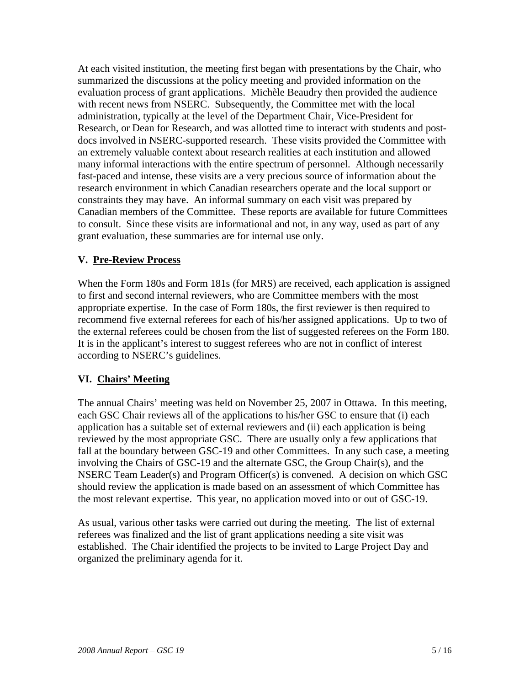At each visited institution, the meeting first began with presentations by the Chair, who summarized the discussions at the policy meeting and provided information on the evaluation process of grant applications. Michèle Beaudry then provided the audience with recent news from NSERC. Subsequently, the Committee met with the local administration, typically at the level of the Department Chair, Vice-President for Research, or Dean for Research, and was allotted time to interact with students and postdocs involved in NSERC-supported research. These visits provided the Committee with an extremely valuable context about research realities at each institution and allowed many informal interactions with the entire spectrum of personnel. Although necessarily fast-paced and intense, these visits are a very precious source of information about the research environment in which Canadian researchers operate and the local support or constraints they may have. An informal summary on each visit was prepared by Canadian members of the Committee. These reports are available for future Committees to consult. Since these visits are informational and not, in any way, used as part of any grant evaluation, these summaries are for internal use only.

# **V. Pre-Review Process**

When the Form 180s and Form 181s (for MRS) are received, each application is assigned to first and second internal reviewers, who are Committee members with the most appropriate expertise. In the case of Form 180s, the first reviewer is then required to recommend five external referees for each of his/her assigned applications. Up to two of the external referees could be chosen from the list of suggested referees on the Form 180. It is in the applicant's interest to suggest referees who are not in conflict of interest according to NSERC's guidelines.

# **VI. Chairs' Meeting**

The annual Chairs' meeting was held on November 25, 2007 in Ottawa. In this meeting, each GSC Chair reviews all of the applications to his/her GSC to ensure that (i) each application has a suitable set of external reviewers and (ii) each application is being reviewed by the most appropriate GSC. There are usually only a few applications that fall at the boundary between GSC-19 and other Committees. In any such case, a meeting involving the Chairs of GSC-19 and the alternate GSC, the Group Chair(s), and the NSERC Team Leader(s) and Program Officer(s) is convened. A decision on which GSC should review the application is made based on an assessment of which Committee has the most relevant expertise. This year, no application moved into or out of GSC-19.

As usual, various other tasks were carried out during the meeting. The list of external referees was finalized and the list of grant applications needing a site visit was established. The Chair identified the projects to be invited to Large Project Day and organized the preliminary agenda for it.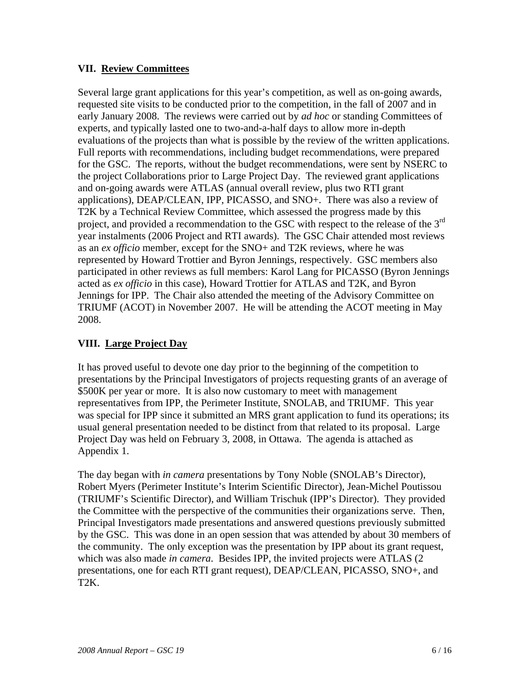# **VII. Review Committees**

Several large grant applications for this year's competition, as well as on-going awards, requested site visits to be conducted prior to the competition, in the fall of 2007 and in early January 2008. The reviews were carried out by *ad hoc* or standing Committees of experts, and typically lasted one to two-and-a-half days to allow more in-depth evaluations of the projects than what is possible by the review of the written applications. Full reports with recommendations, including budget recommendations, were prepared for the GSC. The reports, without the budget recommendations, were sent by NSERC to the project Collaborations prior to Large Project Day. The reviewed grant applications and on-going awards were ATLAS (annual overall review, plus two RTI grant applications), DEAP/CLEAN, IPP, PICASSO, and SNO+. There was also a review of T2K by a Technical Review Committee, which assessed the progress made by this project, and provided a recommendation to the GSC with respect to the release of the 3<sup>rd</sup> year instalments (2006 Project and RTI awards). The GSC Chair attended most reviews as an *ex officio* member, except for the SNO+ and T2K reviews, where he was represented by Howard Trottier and Byron Jennings, respectively. GSC members also participated in other reviews as full members: Karol Lang for PICASSO (Byron Jennings acted as *ex officio* in this case), Howard Trottier for ATLAS and T2K, and Byron Jennings for IPP. The Chair also attended the meeting of the Advisory Committee on TRIUMF (ACOT) in November 2007. He will be attending the ACOT meeting in May 2008.

# **VIII. Large Project Day**

It has proved useful to devote one day prior to the beginning of the competition to presentations by the Principal Investigators of projects requesting grants of an average of \$500K per year or more. It is also now customary to meet with management representatives from IPP, the Perimeter Institute, SNOLAB, and TRIUMF. This year was special for IPP since it submitted an MRS grant application to fund its operations; its usual general presentation needed to be distinct from that related to its proposal. Large Project Day was held on February 3, 2008, in Ottawa. The agenda is attached as Appendix 1.

The day began with *in camera* presentations by Tony Noble (SNOLAB's Director), Robert Myers (Perimeter Institute's Interim Scientific Director), Jean-Michel Poutissou (TRIUMF's Scientific Director), and William Trischuk (IPP's Director). They provided the Committee with the perspective of the communities their organizations serve. Then, Principal Investigators made presentations and answered questions previously submitted by the GSC. This was done in an open session that was attended by about 30 members of the community. The only exception was the presentation by IPP about its grant request, which was also made *in camera*. Besides IPP, the invited projects were ATLAS (2 presentations, one for each RTI grant request), DEAP/CLEAN, PICASSO, SNO+, and T2K.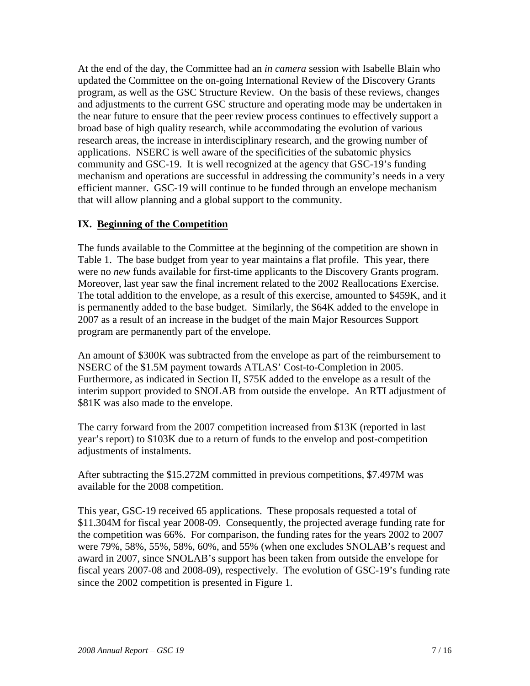At the end of the day, the Committee had an *in camera* session with Isabelle Blain who updated the Committee on the on-going International Review of the Discovery Grants program, as well as the GSC Structure Review. On the basis of these reviews, changes and adjustments to the current GSC structure and operating mode may be undertaken in the near future to ensure that the peer review process continues to effectively support a broad base of high quality research, while accommodating the evolution of various research areas, the increase in interdisciplinary research, and the growing number of applications. NSERC is well aware of the specificities of the subatomic physics community and GSC-19. It is well recognized at the agency that GSC-19's funding mechanism and operations are successful in addressing the community's needs in a very efficient manner. GSC-19 will continue to be funded through an envelope mechanism that will allow planning and a global support to the community.

# **IX. Beginning of the Competition**

The funds available to the Committee at the beginning of the competition are shown in Table 1. The base budget from year to year maintains a flat profile. This year, there were no *new* funds available for first-time applicants to the Discovery Grants program. Moreover, last year saw the final increment related to the 2002 Reallocations Exercise. The total addition to the envelope, as a result of this exercise, amounted to \$459K, and it is permanently added to the base budget. Similarly, the \$64K added to the envelope in 2007 as a result of an increase in the budget of the main Major Resources Support program are permanently part of the envelope.

An amount of \$300K was subtracted from the envelope as part of the reimbursement to NSERC of the \$1.5M payment towards ATLAS' Cost-to-Completion in 2005. Furthermore, as indicated in Section II, \$75K added to the envelope as a result of the interim support provided to SNOLAB from outside the envelope. An RTI adjustment of \$81K was also made to the envelope.

The carry forward from the 2007 competition increased from \$13K (reported in last year's report) to \$103K due to a return of funds to the envelop and post-competition adjustments of instalments.

After subtracting the \$15.272M committed in previous competitions, \$7.497M was available for the 2008 competition.

This year, GSC-19 received 65 applications. These proposals requested a total of \$11.304M for fiscal year 2008-09. Consequently, the projected average funding rate for the competition was 66%. For comparison, the funding rates for the years 2002 to 2007 were 79%, 58%, 55%, 58%, 60%, and 55% (when one excludes SNOLAB's request and award in 2007, since SNOLAB's support has been taken from outside the envelope for fiscal years 2007-08 and 2008-09), respectively. The evolution of GSC-19's funding rate since the 2002 competition is presented in Figure 1.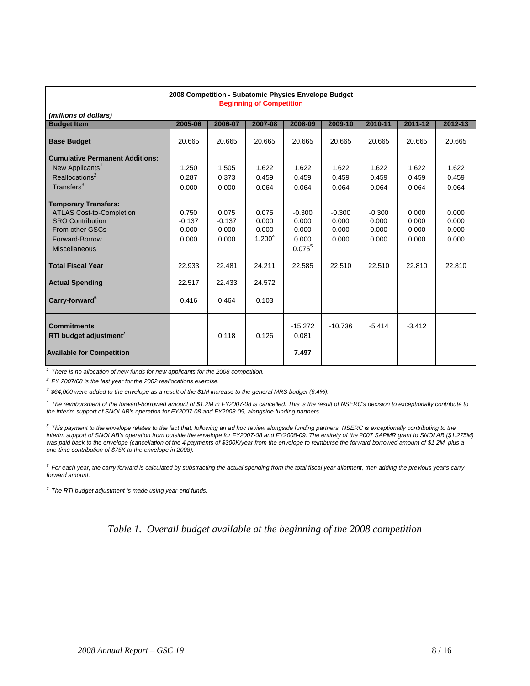| 2008 Competition - Subatomic Physics Envelope Budget<br><b>Beginning of Competition</b> |          |          |                    |                    |           |          |          |         |
|-----------------------------------------------------------------------------------------|----------|----------|--------------------|--------------------|-----------|----------|----------|---------|
| (millions of dollars)                                                                   |          |          |                    |                    |           |          |          |         |
| <b>Budget Item</b>                                                                      | 2005-06  | 2006-07  | 2007-08            | 2008-09            | 2009-10   | 2010-11  | 2011-12  | 2012-13 |
| <b>Base Budget</b>                                                                      | 20.665   | 20.665   | 20.665             | 20.665             | 20.665    | 20.665   | 20.665   | 20.665  |
| <b>Cumulative Permanent Additions:</b>                                                  |          |          |                    |                    |           |          |          |         |
| New Applicants <sup>1</sup>                                                             | 1.250    | 1.505    | 1.622              | 1.622              | 1.622     | 1.622    | 1.622    | 1.622   |
| Reallocations <sup>2</sup>                                                              | 0.287    | 0.373    | 0.459              | 0.459              | 0.459     | 0.459    | 0.459    | 0.459   |
| Transfers <sup>3</sup>                                                                  | 0.000    | 0.000    | 0.064              | 0.064              | 0.064     | 0.064    | 0.064    | 0.064   |
| <b>Temporary Transfers:</b>                                                             |          |          |                    |                    |           |          |          |         |
| <b>ATLAS Cost-to-Completion</b>                                                         | 0.750    | 0.075    | 0.075              | $-0.300$           | $-0.300$  | $-0.300$ | 0.000    | 0.000   |
| <b>SRO Contribution</b>                                                                 | $-0.137$ | $-0.137$ | 0.000              | 0.000              | 0.000     | 0.000    | 0.000    | 0.000   |
| From other GSCs                                                                         | 0.000    | 0.000    | 0.000              | 0.000              | 0.000     | 0.000    | 0.000    | 0.000   |
| Forward-Borrow                                                                          | 0.000    | 0.000    | 1.200 <sup>4</sup> | 0.000              | 0.000     | 0.000    | 0.000    | 0.000   |
| <b>Miscellaneous</b>                                                                    |          |          |                    | $0.075^{5}$        |           |          |          |         |
| <b>Total Fiscal Year</b>                                                                | 22.933   | 22.481   | 24.211             | 22.585             | 22.510    | 22.510   | 22.810   | 22.810  |
| <b>Actual Spending</b>                                                                  | 22.517   | 22.433   | 24.572             |                    |           |          |          |         |
| Carry-forward <sup>6</sup>                                                              | 0.416    | 0.464    | 0.103              |                    |           |          |          |         |
| <b>Commitments</b><br>RTI budget adjustment <sup>7</sup>                                |          | 0.118    | 0.126              | $-15.272$<br>0.081 | $-10.736$ | $-5.414$ | $-3.412$ |         |
| <b>Available for Competition</b>                                                        |          |          |                    | 7.497              |           |          |          |         |

*1 There is no allocation of new funds for new applicants for the 2008 competition.*

*2 FY 2007/08 is the last year for the 2002 reallocations exercise.*

*3 \$64,000 were added to the envelope as a result of the \$1M increase to the general MRS budget (6.4%).*

*4 The reimbursment of the forward-borrowed amount of \$1.2M in FY2007-08 is cancelled. This is the result of NSERC's decision to exceptionally contribute to the interim support of SNOLAB's operation for FY2007-08 and FY2008-09, alongside funding partners.*

*5 This payment to the envelope relates to the fact that, following an ad hoc review alongside funding partners, NSERC is exceptionally contributing to the interim support of SNOLAB's operation from outside the envelope for FY2007-08 and FY2008-09. The entirety of the 2007 SAPMR grant to SNOLAB (\$1.275M) was paid back to the envelope (cancellation of the 4 payments of \$300K/year from the envelope to reimburse the forward-borrowed amount of \$1.2M, plus a one-time contribution of \$75K to the envelope in 2008).*

*6 For each year, the carry forward is calculated by substracting the actual spending from the total fiscal year allotment, then adding the previous year's carryforward amount.*

*6 The RTI budget adjustment is made using year-end funds.*

*Table 1. Overall budget available at the beginning of the 2008 competition*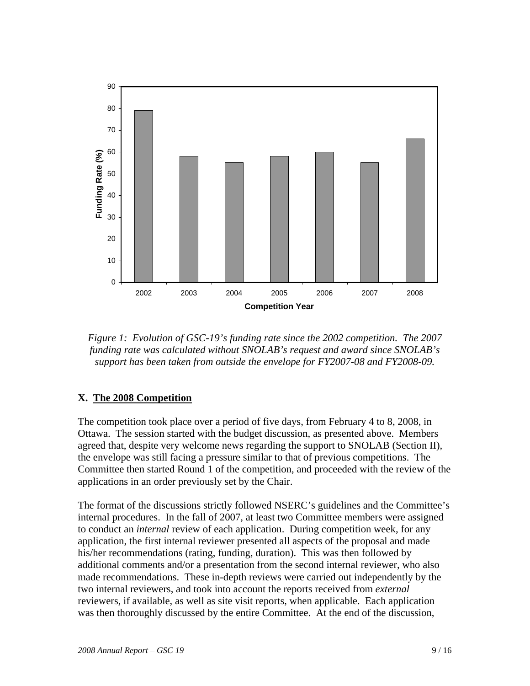

*Figure 1: Evolution of GSC-19's funding rate since the 2002 competition. The 2007 funding rate was calculated without SNOLAB's request and award since SNOLAB's support has been taken from outside the envelope for FY2007-08 and FY2008-09.* 

# **X. The 2008 Competition**

The competition took place over a period of five days, from February 4 to 8, 2008, in Ottawa. The session started with the budget discussion, as presented above. Members agreed that, despite very welcome news regarding the support to SNOLAB (Section II), the envelope was still facing a pressure similar to that of previous competitions. The Committee then started Round 1 of the competition, and proceeded with the review of the applications in an order previously set by the Chair.

The format of the discussions strictly followed NSERC's guidelines and the Committee's internal procedures. In the fall of 2007, at least two Committee members were assigned to conduct an *internal* review of each application. During competition week, for any application, the first internal reviewer presented all aspects of the proposal and made his/her recommendations (rating, funding, duration). This was then followed by additional comments and/or a presentation from the second internal reviewer, who also made recommendations. These in-depth reviews were carried out independently by the two internal reviewers, and took into account the reports received from *external* reviewers, if available, as well as site visit reports, when applicable. Each application was then thoroughly discussed by the entire Committee. At the end of the discussion,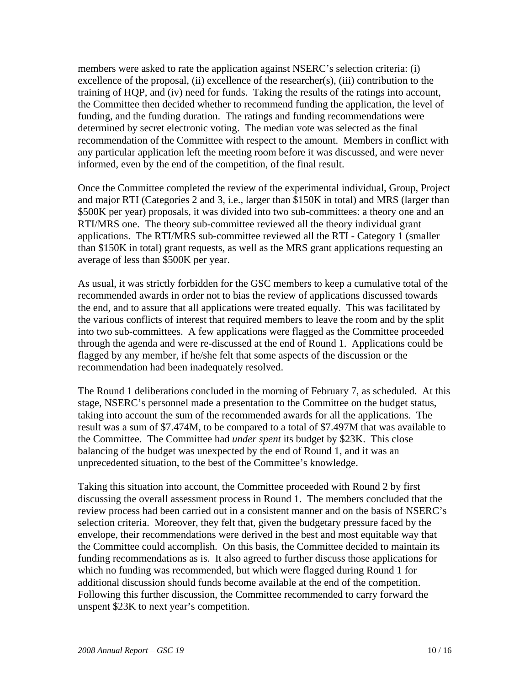members were asked to rate the application against NSERC's selection criteria: (i) excellence of the proposal, (ii) excellence of the researcher(s), (iii) contribution to the training of HQP, and (iv) need for funds. Taking the results of the ratings into account, the Committee then decided whether to recommend funding the application, the level of funding, and the funding duration. The ratings and funding recommendations were determined by secret electronic voting. The median vote was selected as the final recommendation of the Committee with respect to the amount. Members in conflict with any particular application left the meeting room before it was discussed, and were never informed, even by the end of the competition, of the final result.

Once the Committee completed the review of the experimental individual, Group, Project and major RTI (Categories 2 and 3, i.e., larger than \$150K in total) and MRS (larger than \$500K per year) proposals, it was divided into two sub-committees: a theory one and an RTI/MRS one. The theory sub-committee reviewed all the theory individual grant applications. The RTI/MRS sub-committee reviewed all the RTI - Category 1 (smaller than \$150K in total) grant requests, as well as the MRS grant applications requesting an average of less than \$500K per year.

As usual, it was strictly forbidden for the GSC members to keep a cumulative total of the recommended awards in order not to bias the review of applications discussed towards the end, and to assure that all applications were treated equally. This was facilitated by the various conflicts of interest that required members to leave the room and by the split into two sub-committees. A few applications were flagged as the Committee proceeded through the agenda and were re-discussed at the end of Round 1. Applications could be flagged by any member, if he/she felt that some aspects of the discussion or the recommendation had been inadequately resolved.

The Round 1 deliberations concluded in the morning of February 7, as scheduled. At this stage, NSERC's personnel made a presentation to the Committee on the budget status, taking into account the sum of the recommended awards for all the applications. The result was a sum of \$7.474M, to be compared to a total of \$7.497M that was available to the Committee. The Committee had *under spent* its budget by \$23K. This close balancing of the budget was unexpected by the end of Round 1, and it was an unprecedented situation, to the best of the Committee's knowledge.

Taking this situation into account, the Committee proceeded with Round 2 by first discussing the overall assessment process in Round 1. The members concluded that the review process had been carried out in a consistent manner and on the basis of NSERC's selection criteria. Moreover, they felt that, given the budgetary pressure faced by the envelope, their recommendations were derived in the best and most equitable way that the Committee could accomplish. On this basis, the Committee decided to maintain its funding recommendations as is. It also agreed to further discuss those applications for which no funding was recommended, but which were flagged during Round 1 for additional discussion should funds become available at the end of the competition. Following this further discussion, the Committee recommended to carry forward the unspent \$23K to next year's competition.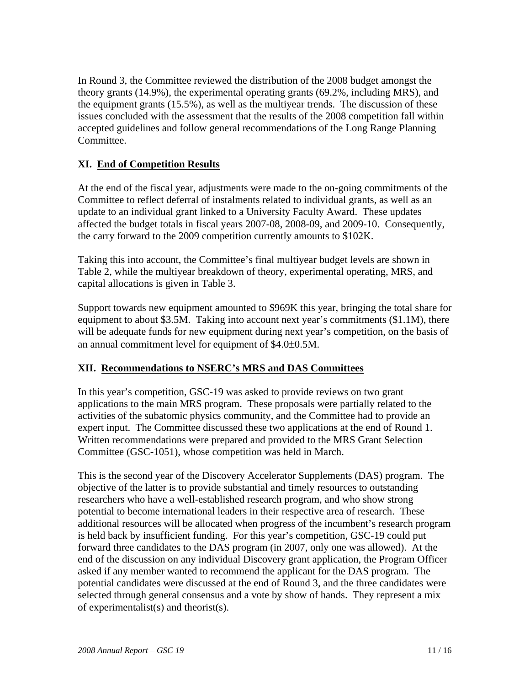In Round 3, the Committee reviewed the distribution of the 2008 budget amongst the theory grants (14.9%), the experimental operating grants (69.2%, including MRS), and the equipment grants (15.5%), as well as the multiyear trends. The discussion of these issues concluded with the assessment that the results of the 2008 competition fall within accepted guidelines and follow general recommendations of the Long Range Planning Committee.

# **XI. End of Competition Results**

At the end of the fiscal year, adjustments were made to the on-going commitments of the Committee to reflect deferral of instalments related to individual grants, as well as an update to an individual grant linked to a University Faculty Award. These updates affected the budget totals in fiscal years 2007-08, 2008-09, and 2009-10. Consequently, the carry forward to the 2009 competition currently amounts to \$102K.

Taking this into account, the Committee's final multiyear budget levels are shown in Table 2, while the multiyear breakdown of theory, experimental operating, MRS, and capital allocations is given in Table 3.

Support towards new equipment amounted to \$969K this year, bringing the total share for equipment to about \$3.5M. Taking into account next year's commitments (\$1.1M), there will be adequate funds for new equipment during next year's competition, on the basis of an annual commitment level for equipment of \$4.0±0.5M.

# **XII. Recommendations to NSERC's MRS and DAS Committees**

In this year's competition, GSC-19 was asked to provide reviews on two grant applications to the main MRS program. These proposals were partially related to the activities of the subatomic physics community, and the Committee had to provide an expert input. The Committee discussed these two applications at the end of Round 1. Written recommendations were prepared and provided to the MRS Grant Selection Committee (GSC-1051), whose competition was held in March.

This is the second year of the Discovery Accelerator Supplements (DAS) program. The objective of the latter is to provide substantial and timely resources to outstanding researchers who have a well-established research program, and who show strong potential to become international leaders in their respective area of research. These additional resources will be allocated when progress of the incumbent's research program is held back by insufficient funding. For this year's competition, GSC-19 could put forward three candidates to the DAS program (in 2007, only one was allowed). At the end of the discussion on any individual Discovery grant application, the Program Officer asked if any member wanted to recommend the applicant for the DAS program. The potential candidates were discussed at the end of Round 3, and the three candidates were selected through general consensus and a vote by show of hands. They represent a mix of experimentalist(s) and theorist(s).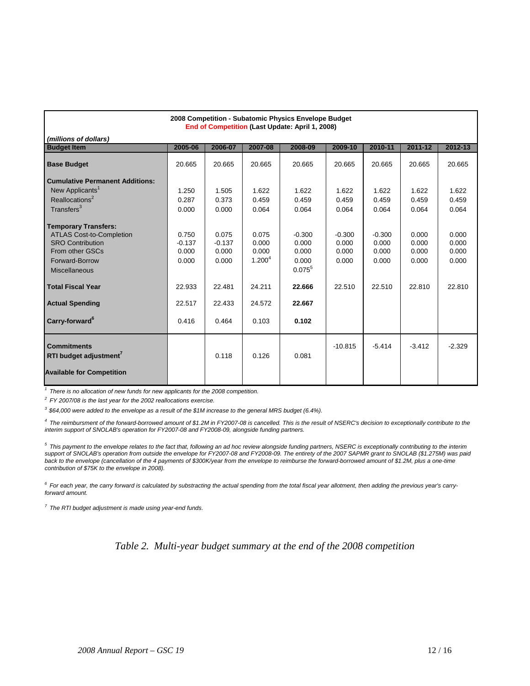| 2008 Competition - Subatomic Physics Envelope Budget<br>End of Competition (Last Update: April 1, 2008)                                                                                                                                    |                                                                  |                                                                  |                                                                            |                                                                               |                                               |                                               |                                            |                                            |
|--------------------------------------------------------------------------------------------------------------------------------------------------------------------------------------------------------------------------------------------|------------------------------------------------------------------|------------------------------------------------------------------|----------------------------------------------------------------------------|-------------------------------------------------------------------------------|-----------------------------------------------|-----------------------------------------------|--------------------------------------------|--------------------------------------------|
| (millions of dollars)                                                                                                                                                                                                                      |                                                                  |                                                                  |                                                                            |                                                                               |                                               |                                               |                                            |                                            |
| <b>Budget Item</b>                                                                                                                                                                                                                         | 2005-06                                                          | 2006-07                                                          | 2007-08                                                                    | 2008-09                                                                       | 2009-10                                       | 2010-11                                       | 2011-12                                    | 2012-13                                    |
| <b>Base Budget</b>                                                                                                                                                                                                                         | 20.665                                                           | 20.665                                                           | 20.665                                                                     | 20.665                                                                        | 20.665                                        | 20.665                                        | 20.665                                     | 20.665                                     |
| <b>Cumulative Permanent Additions:</b>                                                                                                                                                                                                     |                                                                  |                                                                  |                                                                            |                                                                               |                                               |                                               |                                            |                                            |
| New Applicants <sup>1</sup>                                                                                                                                                                                                                | 1.250                                                            | 1.505                                                            | 1.622                                                                      | 1.622                                                                         | 1.622                                         | 1.622                                         | 1.622                                      | 1.622                                      |
| Reallocations <sup>2</sup>                                                                                                                                                                                                                 | 0.287                                                            | 0.373                                                            | 0.459                                                                      | 0.459                                                                         | 0.459                                         | 0.459                                         | 0.459                                      | 0.459                                      |
| Transfers <sup>3</sup>                                                                                                                                                                                                                     | 0.000                                                            | 0.000                                                            | 0.064                                                                      | 0.064                                                                         | 0.064                                         | 0.064                                         | 0.064                                      | 0.064                                      |
| <b>Temporary Transfers:</b><br><b>ATLAS Cost-to-Completion</b><br><b>SRO Contribution</b><br>From other GSCs<br>Forward-Borrow<br><b>Miscellaneous</b><br><b>Total Fiscal Year</b><br><b>Actual Spending</b><br>Carry-forward <sup>6</sup> | 0.750<br>$-0.137$<br>0.000<br>0.000<br>22.933<br>22.517<br>0.416 | 0.075<br>$-0.137$<br>0.000<br>0.000<br>22.481<br>22.433<br>0.464 | 0.075<br>0.000<br>0.000<br>1.200 <sup>4</sup><br>24.211<br>24.572<br>0.103 | $-0.300$<br>0.000<br>0.000<br>0.000<br>$0.075^5$<br>22.666<br>22.667<br>0.102 | $-0.300$<br>0.000<br>0.000<br>0.000<br>22.510 | $-0.300$<br>0.000<br>0.000<br>0.000<br>22.510 | 0.000<br>0.000<br>0.000<br>0.000<br>22.810 | 0.000<br>0.000<br>0.000<br>0.000<br>22.810 |
| <b>Commitments</b><br>RTI budget adjustment<br><b>Available for Competition</b>                                                                                                                                                            |                                                                  | 0.118                                                            | 0.126                                                                      | 0.081                                                                         | $-10.815$                                     | $-5.414$                                      | $-3.412$                                   | $-2.329$                                   |

*1 There is no allocation of new funds for new applicants for the 2008 competition.*

*2 FY 2007/08 is the last year for the 2002 reallocations exercise.*

*3 \$64,000 were added to the envelope as a result of the \$1M increase to the general MRS budget (6.4%).*

*4 The reimbursment of the forward-borrowed amount of \$1.2M in FY2007-08 is cancelled. This is the result of NSERC's decision to exceptionally contribute to the interim support of SNOLAB's operation for FY2007-08 and FY2008-09, alongside funding partners.*

*5 This payment to the envelope relates to the fact that, following an ad hoc review alongside funding partners, NSERC is exceptionally contributing to the interim support of SNOLAB's operation from outside the envelope for FY2007-08 and FY2008-09. The entirety of the 2007 SAPMR grant to SNOLAB (\$1.275M) was paid*  back to the envelope (cancellation of the 4 payments of \$300K/year from the envelope to reimburse the forward-borrowed amount of \$1.2M, plus a one-time *contribution of \$75K to the envelope in 2008).*

*6 For each year, the carry forward is calculated by substracting the actual spending from the total fiscal year allotment, then adding the previous year's carryforward amount.*

*7 The RTI budget adjustment is made using year-end funds.*

*Table 2. Multi-year budget summary at the end of the 2008 competition*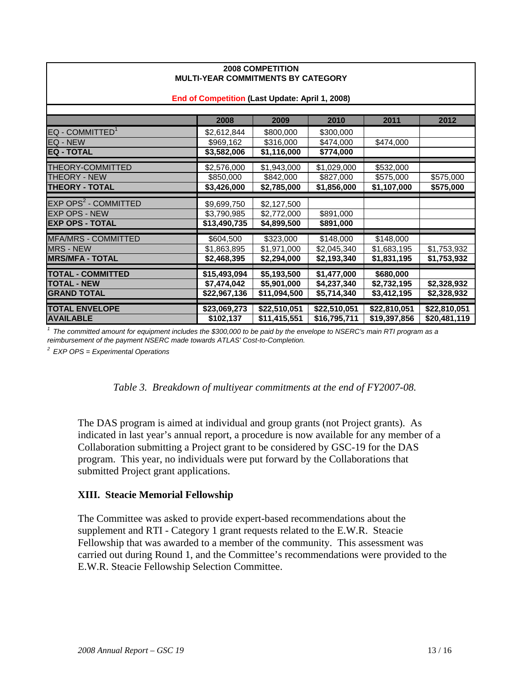| MULIFILAN VUMMINIMLIYIY DI VAILUUNI             |              |              |              |              |              |  |
|-------------------------------------------------|--------------|--------------|--------------|--------------|--------------|--|
| End of Competition (Last Update: April 1, 2008) |              |              |              |              |              |  |
|                                                 |              |              |              |              |              |  |
|                                                 | 2008         | 2009         | 2010         | 2011         | 2012         |  |
| EQ - COMMITTED <sup>1</sup>                     | \$2,612,844  | \$800,000    | \$300,000    |              |              |  |
| EQ - NEW                                        | \$969,162    | \$316,000    | \$474,000    | \$474,000    |              |  |
| <b>EQ - TOTAL</b>                               | \$3,582,006  | \$1,116,000  | \$774,000    |              |              |  |
| <b>THEORY-COMMITTED</b>                         | \$2,576,000  | \$1,943,000  | \$1,029,000  | \$532,000    |              |  |
| <b>THEORY - NEW</b>                             | \$850,000    | \$842,000    | \$827,000    | \$575,000    | \$575,000    |  |
| <b>THEORY - TOTAL</b>                           | \$3,426,000  | \$2,785,000  | \$1,856,000  | \$1,107,000  | \$575,000    |  |
|                                                 |              |              |              |              |              |  |
| EXP OPS <sup>2</sup> - COMMITTED                | \$9,699,750  | \$2,127,500  |              |              |              |  |
| <b>EXP OPS - NEW</b>                            | \$3,790,985  | \$2,772,000  | \$891,000    |              |              |  |
| <b>EXP OPS - TOTAL</b>                          | \$13,490,735 | \$4,899,500  | \$891,000    |              |              |  |
| <b>MFA/MRS - COMMITTED</b>                      | \$604,500    | \$323,000    | \$148,000    | \$148,000    |              |  |
| <b>MRS - NEW</b>                                | \$1,863,895  | \$1,971,000  | \$2,045,340  | \$1,683,195  | \$1,753,932  |  |
| <b>MRS/MFA - TOTAL</b>                          | \$2,468,395  | \$2,294,000  | \$2,193,340  | \$1,831,195  | \$1,753,932  |  |
| <b>TOTAL - COMMITTED</b>                        | \$15,493,094 | \$5,193,500  | \$1,477,000  | \$680,000    |              |  |
| <b>TOTAL - NEW</b>                              | \$7,474,042  | \$5,901,000  | \$4,237,340  | \$2,732,195  | \$2,328,932  |  |
|                                                 |              |              |              |              |              |  |
| <b>GRAND TOTAL</b>                              | \$22,967,136 | \$11,094,500 | \$5,714,340  | \$3,412,195  | \$2,328,932  |  |
| <b>TOTAL ENVELOPE</b>                           | \$23,069,273 | \$22,510,051 | \$22,510,051 | \$22,810,051 | \$22,810,051 |  |
| <b>AVAILABLE</b>                                | \$102,137    | \$11,415,551 | \$16,795,711 | \$19,397,856 | \$20,481,119 |  |

#### **2008 COMPETITION MULTI-YEAR COMMITMENTS BY CATEGORY**

*1 The committed amount for equipment includes the \$300,000 to be paid by the envelope to NSERC's main RTI program as a reimbursement of the payment NSERC made towards ATLAS' Cost-to-Completion.*

*2 EXP OPS = Experimental Operations*

|  |  | Table 3. Breakdown of multiyear commitments at the end of FY2007-08. |
|--|--|----------------------------------------------------------------------|
|  |  |                                                                      |

The DAS program is aimed at individual and group grants (not Project grants). As indicated in last year's annual report, a procedure is now available for any member of a Collaboration submitting a Project grant to be considered by GSC-19 for the DAS program. This year, no individuals were put forward by the Collaborations that submitted Project grant applications.

#### **XIII. Steacie Memorial Fellowship**

The Committee was asked to provide expert-based recommendations about the supplement and RTI - Category 1 grant requests related to the E.W.R. Steacie Fellowship that was awarded to a member of the community. This assessment was carried out during Round 1, and the Committee's recommendations were provided to the E.W.R. Steacie Fellowship Selection Committee.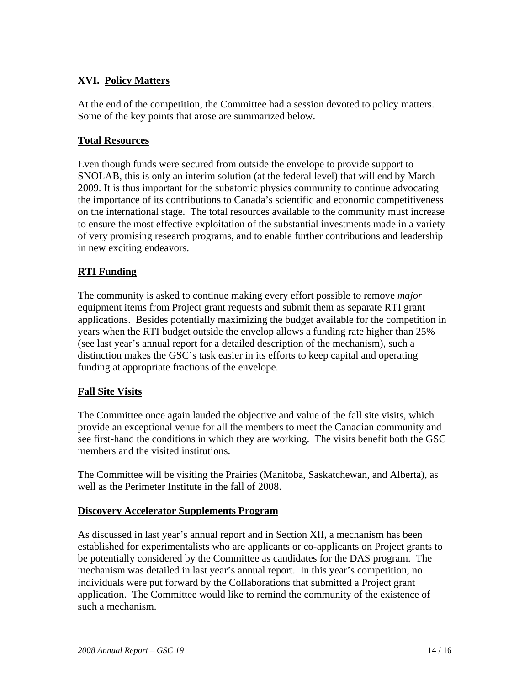# **XVI. Policy Matters**

At the end of the competition, the Committee had a session devoted to policy matters. Some of the key points that arose are summarized below.

#### **Total Resources**

Even though funds were secured from outside the envelope to provide support to SNOLAB, this is only an interim solution (at the federal level) that will end by March 2009. It is thus important for the subatomic physics community to continue advocating the importance of its contributions to Canada's scientific and economic competitiveness on the international stage. The total resources available to the community must increase to ensure the most effective exploitation of the substantial investments made in a variety of very promising research programs, and to enable further contributions and leadership in new exciting endeavors.

#### **RTI Funding**

The community is asked to continue making every effort possible to remove *major* equipment items from Project grant requests and submit them as separate RTI grant applications. Besides potentially maximizing the budget available for the competition in years when the RTI budget outside the envelop allows a funding rate higher than 25% (see last year's annual report for a detailed description of the mechanism), such a distinction makes the GSC's task easier in its efforts to keep capital and operating funding at appropriate fractions of the envelope.

#### **Fall Site Visits**

The Committee once again lauded the objective and value of the fall site visits, which provide an exceptional venue for all the members to meet the Canadian community and see first-hand the conditions in which they are working. The visits benefit both the GSC members and the visited institutions.

The Committee will be visiting the Prairies (Manitoba, Saskatchewan, and Alberta), as well as the Perimeter Institute in the fall of 2008.

#### **Discovery Accelerator Supplements Program**

As discussed in last year's annual report and in Section XII, a mechanism has been established for experimentalists who are applicants or co-applicants on Project grants to be potentially considered by the Committee as candidates for the DAS program. The mechanism was detailed in last year's annual report. In this year's competition, no individuals were put forward by the Collaborations that submitted a Project grant application. The Committee would like to remind the community of the existence of such a mechanism.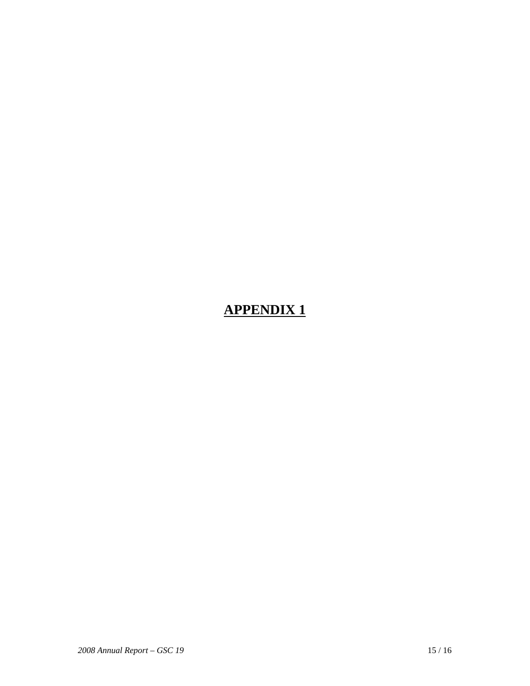# **APPENDIX 1**